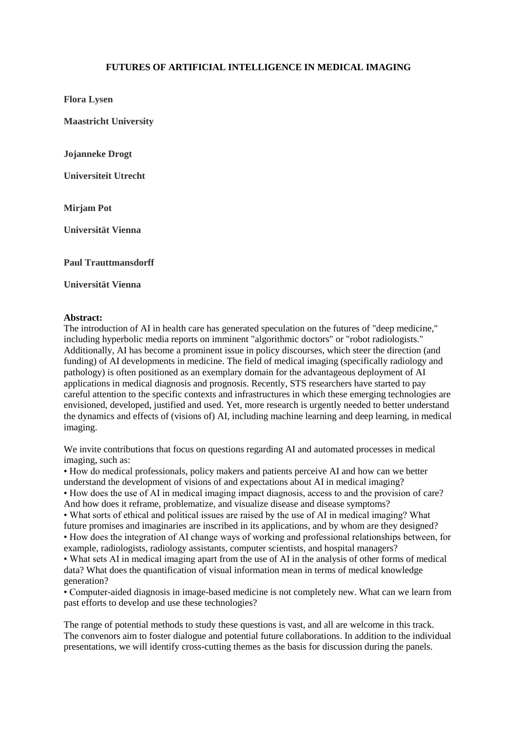## **FUTURES OF ARTIFICIAL INTELLIGENCE IN MEDICAL IMAGING**

**Flora Lysen**

**Maastricht University**

**Jojanneke Drogt**

**Universiteit Utrecht**

**Mirjam Pot**

**Universität Vienna**

**Paul Trauttmansdorff**

**Universität Vienna**

## **Abstract:**

The introduction of AI in health care has generated speculation on the futures of "deep medicine," including hyperbolic media reports on imminent "algorithmic doctors" or "robot radiologists." Additionally, AI has become a prominent issue in policy discourses, which steer the direction (and funding) of AI developments in medicine. The field of medical imaging (specifically radiology and pathology) is often positioned as an exemplary domain for the advantageous deployment of AI applications in medical diagnosis and prognosis. Recently, STS researchers have started to pay careful attention to the specific contexts and infrastructures in which these emerging technologies are envisioned, developed, justified and used. Yet, more research is urgently needed to better understand the dynamics and effects of (visions of) AI, including machine learning and deep learning, in medical imaging.

We invite contributions that focus on questions regarding AI and automated processes in medical imaging, such as:

• How do medical professionals, policy makers and patients perceive AI and how can we better understand the development of visions of and expectations about AI in medical imaging?

• How does the use of AI in medical imaging impact diagnosis, access to and the provision of care? And how does it reframe, problematize, and visualize disease and disease symptoms?

• What sorts of ethical and political issues are raised by the use of AI in medical imaging? What future promises and imaginaries are inscribed in its applications, and by whom are they designed?

• How does the integration of AI change ways of working and professional relationships between, for example, radiologists, radiology assistants, computer scientists, and hospital managers?

• What sets AI in medical imaging apart from the use of AI in the analysis of other forms of medical data? What does the quantification of visual information mean in terms of medical knowledge generation?

• Computer-aided diagnosis in image-based medicine is not completely new. What can we learn from past efforts to develop and use these technologies?

The range of potential methods to study these questions is vast, and all are welcome in this track. The convenors aim to foster dialogue and potential future collaborations. In addition to the individual presentations, we will identify cross-cutting themes as the basis for discussion during the panels.